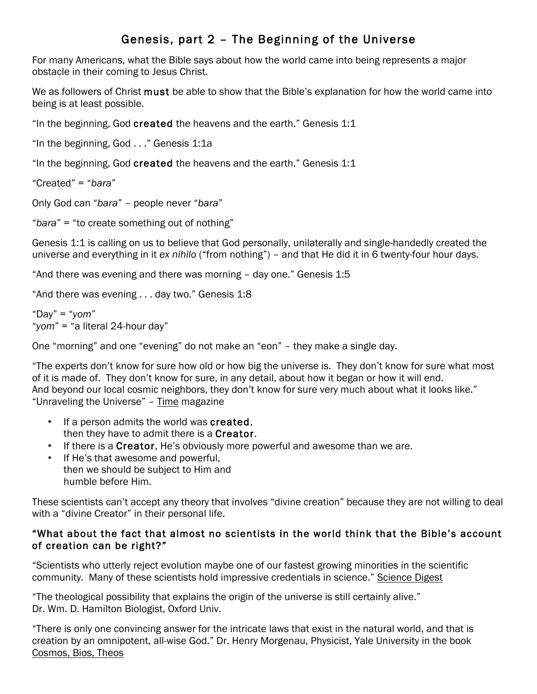# Genesis, part 2 – The Beginning of the Universe

For many Americans, what the Bible says about how the world came into being represents a major obstacle in their coming to Jesus Christ.

We as followers of Christ must be able to show that the Bible's explanation for how the world came into being is at least possible.

"In the beginning, God created the heavens and the earth." Genesis 1:1

"In the beginning, God . . ." Genesis 1:1a

"In the beginning, God created the heavens and the earth." Genesis 1:1

"Created" = "*bara*"

Only God can "*bara*" – people never "*bara*"

"*bara*" = "to create something out of nothing"

Genesis 1:1 is calling on us to believe that God personally, unilaterally and single-handedly created the universe and everything in it *ex nihilo* ("from nothing") – and that He did it in 6 twenty-four hour days.

"And there was evening and there was morning – day one." Genesis 1:5

"And there was evening . . . day two." Genesis 1:8

"Day" = "*yom*" "*yom*" = "a literal 24-hour day"

One "morning" and one "evening" do not make an "eon" – they make a single day.

"The experts don't know for sure how old or how big the universe is. They don't know for sure what most of it is made of. They don't know for sure, in any detail, about how it began or how it will end. And beyond our local cosmic neighbors, they don't know for sure very much about what it looks like." "Unraveling the Universe" – Time magazine

- If a person admits the world was created, then they have to admit there is a **Creator**.
- If there is a Creator, He's obviously more powerful and awesome than we are.
- If He's that awesome and powerful, then we should be subject to Him and humble before Him.

These scientists can't accept any theory that involves "divine creation" because they are not willing to deal with a "divine Creator" in their personal life.

### "What about the fact that almost no scientists in the world think that the Bible's account of creation can be right?"

"Scientists who utterly reject evolution maybe one of our fastest growing minorities in the scientific community. Many of these scientists hold impressive credentials in science." Science Digest

"The theological possibility that explains the origin of the universe is still certainly alive." Dr. Wm. D. Hamilton Biologist, Oxford Univ.

"There is only one convincing answer for the intricate laws that exist in the natural world, and that is creation by an omnipotent, all-wise God." Dr. Henry Morgenau, Physicist, Yale University in the book Cosmos, Bios, Theos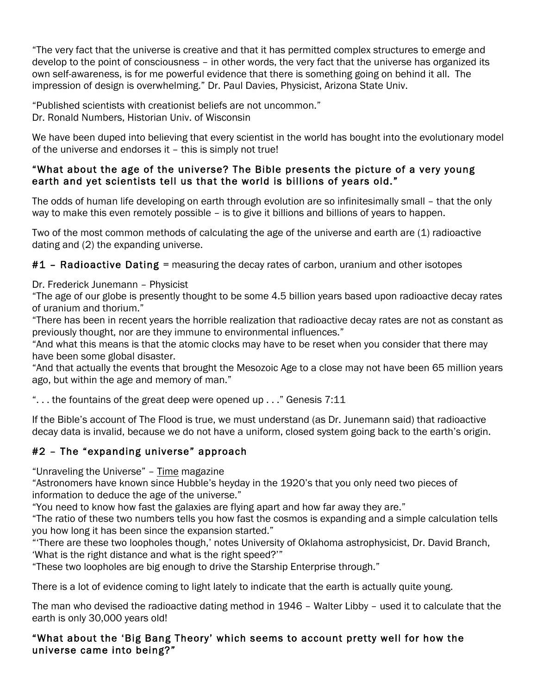"The very fact that the universe is creative and that it has permitted complex structures to emerge and develop to the point of consciousness – in other words, the very fact that the universe has organized its own self-awareness, is for me powerful evidence that there is something going on behind it all. The impression of design is overwhelming." Dr. Paul Davies, Physicist, Arizona State Univ.

"Published scientists with creationist beliefs are not uncommon." Dr. Ronald Numbers, Historian Univ. of Wisconsin

We have been duped into believing that every scientist in the world has bought into the evolutionary model of the universe and endorses it – this is simply not true!

### "What about the age of the universe? The Bible presents the picture of a very young earth and yet scientists tell us that the world is billions of years old."

The odds of human life developing on earth through evolution are so infinitesimally small – that the only way to make this even remotely possible – is to give it billions and billions of years to happen.

Two of the most common methods of calculating the age of the universe and earth are (1) radioactive dating and (2) the expanding universe.

#1 - Radioactive Dating = measuring the decay rates of carbon, uranium and other isotopes

### Dr. Frederick Junemann – Physicist

"The age of our globe is presently thought to be some 4.5 billion years based upon radioactive decay rates of uranium and thorium."

"There has been in recent years the horrible realization that radioactive decay rates are not as constant as previously thought, nor are they immune to environmental influences."

"And what this means is that the atomic clocks may have to be reset when you consider that there may have been some global disaster.

"And that actually the events that brought the Mesozoic Age to a close may not have been 65 million years ago, but within the age and memory of man."

". . . the fountains of the great deep were opened up . . ." Genesis 7:11

If the Bible's account of The Flood is true, we must understand (as Dr. Junemann said) that radioactive decay data is invalid, because we do not have a uniform, closed system going back to the earth's origin.

# #2 – The "expanding universe" approach

"Unraveling the Universe" – Time magazine

"Astronomers have known since Hubble's heyday in the 1920's that you only need two pieces of information to deduce the age of the universe."

"You need to know how fast the galaxies are flying apart and how far away they are."

"The ratio of these two numbers tells you how fast the cosmos is expanding and a simple calculation tells you how long it has been since the expansion started."

"'There are these two loopholes though,' notes University of Oklahoma astrophysicist, Dr. David Branch, 'What is the right distance and what is the right speed?'"

"These two loopholes are big enough to drive the Starship Enterprise through."

There is a lot of evidence coming to light lately to indicate that the earth is actually quite young.

The man who devised the radioactive dating method in 1946 – Walter Libby – used it to calculate that the earth is only 30,000 years old!

### "What about the 'Big Bang Theory' which seems to account pretty well for how the universe came into being?"